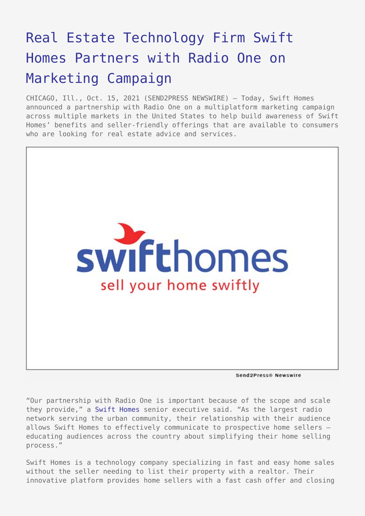## [Real Estate Technology Firm Swift](https://www.send2press.com/wire/real-estate-technology-firm-swift-homes-partners-with-radio-one-on-marketing-campaign/) [Homes Partners with Radio One on](https://www.send2press.com/wire/real-estate-technology-firm-swift-homes-partners-with-radio-one-on-marketing-campaign/) [Marketing Campaign](https://www.send2press.com/wire/real-estate-technology-firm-swift-homes-partners-with-radio-one-on-marketing-campaign/)

CHICAGO, Ill., Oct. 15, 2021 (SEND2PRESS NEWSWIRE) — Today, Swift Homes announced a partnership with Radio One on a multiplatform marketing campaign across multiple markets in the United States to help build awareness of Swift Homes' benefits and seller-friendly offerings that are available to consumers who are looking for real estate advice and services.



Send2Press® Newswire

"Our partnership with Radio One is important because of the scope and scale they provide," a [Swift Homes](https://www.selltoswift.com) senior executive said. "As the largest radio network serving the urban community, their relationship with their audience allows Swift Homes to effectively communicate to prospective home sellers educating audiences across the country about simplifying their home selling process."

Swift Homes is a technology company specializing in fast and easy home sales without the seller needing to list their property with a realtor. Their innovative platform provides home sellers with a fast cash offer and closing